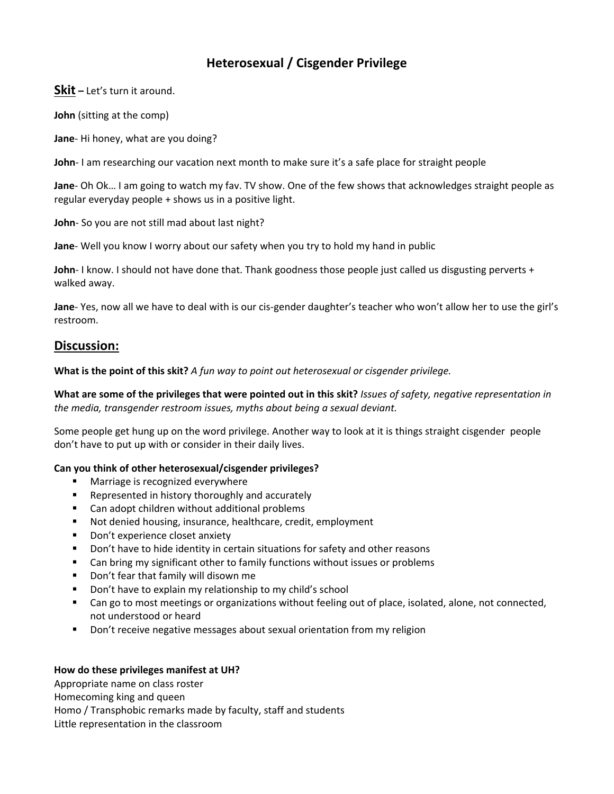# **Heterosexual / Cisgender Privilege**

**Skit –** Let's turn it around.

**John** (sitting at the comp)

**Jane**-Hi honey, what are you doing?

**John**- I am researching our vacation next month to make sure it's a safe place for straight people

**Jane**- Oh Ok... I am going to watch my fav. TV show. One of the few shows that acknowledges straight people as regular everyday people + shows us in a positive light.

John- So you are not still mad about last night?

**Jane**‐ Well you know I worry about our safety when you try to hold my hand in public

**John**- I know. I should not have done that. Thank goodness those people just called us disgusting perverts + walked away.

**Jane**– Yes, now all we have to deal with is our cis-gender daughter's teacher who won't allow her to use the girl's restroom.

# **Discussion:**

**What is the point of this skit?** *A fun way to point out heterosexual or cisgender privilege.*

What are some of the privileges that were pointed out in this skit? Issues of safety, negative representation in *the media, transgender restroom issues, myths about being a sexual deviant.* 

Some people get hung up on the word privilege. Another way to look at it is things straight cisgender people don't have to put up with or consider in their daily lives.

## **Can you think of other heterosexual/cisgender privileges?**

- **Narriage is recognized everywhere**
- **Represented in history thoroughly and accurately**
- Can adopt children without additional problems
- Not denied housing, insurance, healthcare, credit, employment
- **Don't experience closet anxiety**
- **Don't have to hide identity in certain situations for safety and other reasons**
- Can bring my significant other to family functions without issues or problems
- **•** Don't fear that family will disown me
- **•** Don't have to explain my relationship to my child's school
- Can go to most meetings or organizations without feeling out of place, isolated, alone, not connected, not understood or heard
- Don't receive negative messages about sexual orientation from my religion

### **How do these privileges manifest at UH?**

Appropriate name on class roster Homecoming king and queen Homo / Transphobic remarks made by faculty, staff and students Little representation in the classroom